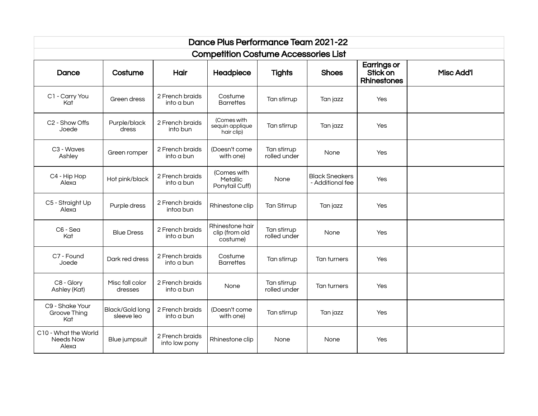| Dance Plus Performance Team 2021-22         |                               |                                  |                                               |                             |                                    |                                                      |                   |  |  |  |  |
|---------------------------------------------|-------------------------------|----------------------------------|-----------------------------------------------|-----------------------------|------------------------------------|------------------------------------------------------|-------------------|--|--|--|--|
| <b>Competition Costume Accessories List</b> |                               |                                  |                                               |                             |                                    |                                                      |                   |  |  |  |  |
| Dance                                       | Costume                       | Hair                             | Headpiece                                     | <b>Tights</b>               | <b>Shoes</b>                       | <b>Earrings or</b><br>Stick on<br><b>Rhinestones</b> | <b>Misc Add'l</b> |  |  |  |  |
| C1 - Carry You<br>Kat                       | Green dress                   | 2 French braids<br>into a bun    | Costume<br><b>Barrettes</b>                   | Tan stirrup                 | Tan jazz                           | Yes                                                  |                   |  |  |  |  |
| C <sub>2</sub> - Show Offs<br>Joede         | Purple/black<br>dress         | 2 French braids<br>into bun      | (Comes with<br>sequin applique<br>hair clip)  | Tan stirrup                 | Tan jazz                           | Yes                                                  |                   |  |  |  |  |
| C3 - Waves<br>Ashley                        | Green romper                  | 2 French braids<br>into a bun    | (Doesn't come<br>with one)                    | Tan stirrup<br>rolled under | None                               | Yes                                                  |                   |  |  |  |  |
| C4 - Hip Hop<br>Alexa                       | Hot pink/black                | 2 French braids<br>into a bun    | (Comes with<br>Metallic<br>Ponytail Cuff)     | None                        | Black Sneakers<br>- Additional fee | Yes                                                  |                   |  |  |  |  |
| C5 - Straight Up<br>Alexa                   | Purple dress                  | 2 French braids<br>intoa bun     | Rhinestone clip                               | Tan Stirrup                 | Tan jazz                           | Yes                                                  |                   |  |  |  |  |
| C6 - Sea<br>Kat                             | <b>Blue Dress</b>             | 2 French braids<br>into a bun    | Rhinestone hair<br>clip (from old<br>costume) | Tan stirrup<br>rolled under | None                               | Yes                                                  |                   |  |  |  |  |
| C7 - Found<br>Joede                         | Dark red dress                | 2 French braids<br>into a bun    | Costume<br><b>Barrettes</b>                   | Tan stirrup                 | Tan turners                        | Yes                                                  |                   |  |  |  |  |
| C8 - Glory<br>Ashley (Kat)                  | Misc fall color<br>dresses    | 2 French braids<br>into a bun    | None                                          | Tan stirrup<br>rolled under | Tan turners                        | Yes                                                  |                   |  |  |  |  |
| C9 - Shake Your<br>Groove Thing<br>Kat      | Black/Gold long<br>sleeve leo | 2 French braids<br>into a bun    | (Doesn't come<br>with one)                    | Tan stirrup                 | Tan jazz                           | Yes                                                  |                   |  |  |  |  |
| C10 - What the World<br>Needs Now<br>Alexa  | Blue jumpsuit                 | 2 French braids<br>into low pony | Rhinestone clip                               | None                        | None                               | Yes                                                  |                   |  |  |  |  |